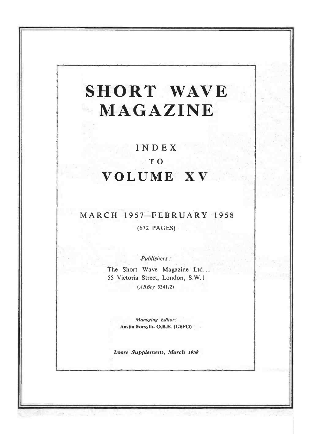# SHORT WAVE MAGAZINE

# INDEX TO VOLUME XV

# MARCH 1957-FEBRUARY 1958

(672 PAGES)

Publishers :

The Short Wave Magazine Ltd. 55 Victoria Street, London, S.W.1  $(ABBey 5341/2)$ 

> Managing Editor: Austin Forsyth, O.B.E. (G6FO)

Loose Supplement, March 1958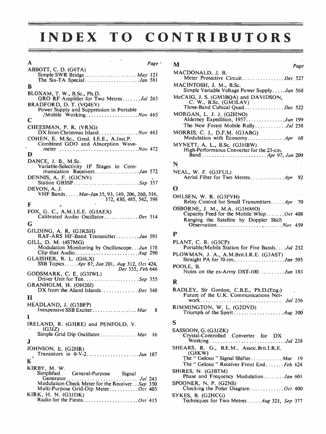# INDEX TO CONTRIBUTORS

| A                                                                                                                                 | Page <sup>'</sup> | M               |
|-----------------------------------------------------------------------------------------------------------------------------------|-------------------|-----------------|
| ABBOTT, C. D. (G6TA)                                                                                                              |                   | MA <sub>0</sub> |
| Simple SWR Bridge May 121                                                                                                         |                   |                 |
| в                                                                                                                                 |                   | MA              |
| BLOXAM, T. W., B.Sc., Ph.D.                                                                                                       |                   | McC             |
| QRO RF Amplifier for Two MetresJul 265<br>BRADFORD, D. T. (VQ4EV)                                                                 |                   |                 |
| Power Supply and Suppression in Portable                                                                                          |                   |                 |
|                                                                                                                                   |                   | MO.             |
| C                                                                                                                                 |                   |                 |
| CHEESMAN, P. R. (VR3G)<br>DX from Christmas Island Nov 463                                                                        |                   | MO              |
| COHEN, E. M.Sc., Grad. I.E.E., A.Inst.P.                                                                                          |                   |                 |
| Combined GDO and Absorption Wave-<br>meter $\ldots \ldots \ldots \ldots \ldots \ldots \ldots \ldots \ldots \ldots \ldots Nov$ 472 |                   | MY.             |
| D                                                                                                                                 |                   |                 |
| DANCE, J. B., M.Sc.                                                                                                               |                   |                 |
| Variable-Selectivity IF Stages in Com-                                                                                            |                   | N               |
| munication ReceiversJan 572                                                                                                       |                   | NEA             |
| DENNIS, A. F. (G3CNV)<br>Station GB3SPSep 357                                                                                     |                   |                 |
| DEVON, A. J.                                                                                                                      |                   | О               |
| VHF Bands Mar-Jan 35, 93, 149, 206, 260, 316,                                                                                     |                   |                 |
| 372, 430, 485, 542, 598                                                                                                           |                   | OHI             |
| F                                                                                                                                 |                   | OSB             |
| FOX, G. C., A.M.I.E.E. (G3AEX)<br>Calibrated Audio OscillatorDec 514                                                              |                   |                 |
| G                                                                                                                                 |                   |                 |
| GILDING, A. R. (G3KSH)<br>RAF-ARS HF-Band TransmitterJan 591                                                                      |                   | P               |
| GILL, D. M. (4S7MG)                                                                                                               |                   | <b>PLA</b>      |
| Modulation Monitoring by OscilloscopeJun 178                                                                                      |                   |                 |
|                                                                                                                                   |                   | <b>PLO</b>      |
| GLAISHER, R. L. (G6LX)<br>SSB Topics Apr 87, Jun 201, Aug 312, Oct 424,                                                           |                   |                 |
| Dec 535, Feb 646                                                                                                                  |                   | POC             |
| GODSMARK, C. E. (G31WL)                                                                                                           |                   |                 |
| Driver Unit for TenSep 355                                                                                                        |                   | R               |
| GRANHOLM, H. (OH20J)<br>DX from the Aland IslandsDec 548                                                                          |                   | RAI             |
|                                                                                                                                   |                   |                 |
| н                                                                                                                                 |                   |                 |
| HEADLAND, J. (G3BFP)<br>Inexpensive SSB Exciter Mar                                                                               | 8                 | RIM             |
| I                                                                                                                                 |                   |                 |
|                                                                                                                                   |                   | S.              |
| IRELAND, R. (G3IRE) and PENFOLD, V.<br>(G3JZ)                                                                                     |                   | SAS:            |
| Simple Grid Dip Oscillator Mar 16                                                                                                 |                   |                 |
| J                                                                                                                                 |                   |                 |
| JOHNSON, E. (G2HR)                                                                                                                |                   | <b>SHE</b>      |
| Transistors in 0-V-2. Jun 187                                                                                                     |                   |                 |
| К                                                                                                                                 |                   |                 |
| KIRBY, M. W.                                                                                                                      |                   |                 |
| Simplified<br>General-Purpose Signal                                                                                              |                   | SHII            |
| Modulation Check Meter for the Receiver. . Sep 350                                                                                |                   | <b>SPO</b>      |
| Multi-Purpose Grid-Dip Meter Oct 403                                                                                              |                   |                 |
| KIRK, H. N. (G3JDK)                                                                                                               |                   | <b>SYK</b>      |

| M                                                                                                                                                                                                                                    | Page |  |
|--------------------------------------------------------------------------------------------------------------------------------------------------------------------------------------------------------------------------------------|------|--|
|                                                                                                                                                                                                                                      |      |  |
| MACDONALD, J. B.                                                                                                                                                                                                                     |      |  |
| <b>Address The Constantine Constantine Constantine Constantine Constantine Constantine Constantine Constantine Constantine Constantine Constantine Constantine Constantine Constantine Constantine Constantine Constantine Const</b> |      |  |

| Meter Protective CircuitDec 527                                           |  |
|---------------------------------------------------------------------------|--|
| MACINTOSH, J. M., B.Sc.<br>Simple Variable Voltage Power SupplyJan 568    |  |
| McCAIG, J. S. (GM3BQA) and DAVIDSON,<br>C. W., B.Sc. $(GM3LAV)$           |  |
|                                                                           |  |
| MORGAN, L. J. J. (G2HNO)<br>Alderney Expedition, 1957. Jun 199            |  |
|                                                                           |  |
| MORRIS, C. J., D.F.M. (G3ABG)                                             |  |
| MYNETT, A. L., B.Sc. (G3HBW)<br>High-Performance Converter for the 23-cm. |  |
| Band <i>Apr</i> 97, <i>Jun</i> 209                                        |  |
| N                                                                         |  |
| NEAL, W. F. (G3FUL)<br>Aerial Filter for Two Metres Apr 92                |  |
| O                                                                         |  |
| OHLSEN, W. R. (G3FVH)<br>Relay Control for Small TransmittersApr 70       |  |
| OSBORNE, J. M., M.A. (G3HMO)<br>Capacity Feed for the Mobile WhipOct 408  |  |
| Ranging the Satellite by Doppler Shift                                    |  |
| P                                                                         |  |
| PLANT, C. R. (G5CP)<br>Portable/Mobile Station for Five BandsJul 232      |  |
| PLOWMAN, J. A., A.M.Brit.I.R.E. (G3AST)                                   |  |
|                                                                           |  |
| POOLE, B.                                                                 |  |

#### R

| RADLEY, Sir Gordon, C.B.E., Ph.D.(Eng.) |  |
|-----------------------------------------|--|
| Future of the U.K. Communications Net-  |  |
| RIMMINGTON, W. L. (G2DVD)               |  |
|                                         |  |

#### S

| LAND, K. (OJINL) and I LINTOLD. Y.              |                                                                                           |
|-------------------------------------------------|-------------------------------------------------------------------------------------------|
| (G3JZ)<br>Simple Grid Dip Oscillator Mar 16     | SASSOON, G. (G3JZK)<br>Crystal-Controlled Converter for DX                                |
| NSON, E. (G2HR)                                 | SHEARS, R. G., B.E.M., Assoc.Brit.I.R.E.<br>(G8KW)<br>The "Geloso " Signal Shifter Mar 19 |
| BY, M. W.                                       | The "Geloso" Receiver Front EndFeb 624                                                    |
| Simplified General-Purpose Signal               | SHIRES, N. (G3BTM)                                                                        |
|                                                 | Phase and Frequency ModulationJan 601                                                     |
| Modulation Check Meter for the Receiver Sep 350 | SPOONER, N. P. (G2NS)                                                                     |
| Multi-Purpose Grid-Dip MeterOct 403             | Checking the Polar Diagram Oct 400                                                        |
| K, H. N. (G3JDK)                                | SYKES, B. (G2HCG)                                                                         |
| Radio for the FiestaOct 415                     | Techniques for Two Metres  Aug 321, Sep 377                                               |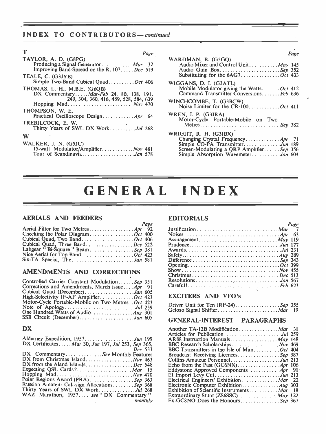# INDEX TO CONTRIBUTORS-continued

| т<br>Page                                               |                   |
|---------------------------------------------------------|-------------------|
| TAYLOR, A. D. (G8PG)                                    | WARD              |
| Producing a Signal Generator Mar 32                     | Αι                |
| Improving Band-Spread on the R. 107 Dec 519             | Αι                |
| TEALE, C. (G3JYB)                                       | Su                |
| Simple Two-Band Cubical Quad Oct 406                    | WIGG              |
| THOMAS, L. H., M.B.E. (G6OB)                            | M                 |
| DX Commentary $\ldots$ <i>Mar-Feb</i> 24, 80, 138, 191, | Cc                |
| 249, 304, 360, 416, 489, 528, 584, 639                  | WINCI             |
|                                                         | No                |
| THOMPSON, W. E.<br>Practical Oscilloscope Design Apr 64 | WREN              |
| TREBILCOCK, E. W.<br>Thirty Years of SWL DX WorkJul 268 | M                 |
| W                                                       | <b>WRIG</b><br>Ch |
| WALKER, J. N. (G5JU)                                    | Sir               |
| 15-watt_Modulator/Amplifier Nov 481                     | Sci               |
| Tour of ScandinaviaJan 578                              | Sir               |

| WARDMAN, B. (G5GO)<br>Audio Mixer and Control Unit. May 145<br>Audio Gain BoxSep 352<br>Substituting for the 6AG7Oct 433                                                        |  |
|---------------------------------------------------------------------------------------------------------------------------------------------------------------------------------|--|
| WIGGANS, D. I. (G3ATL)<br>Mobile Modulator giving the WattsOct 412<br>Command Transmitter ConversionsFeb 636                                                                    |  |
| WINCHCOMBE, T. (G3BCW)                                                                                                                                                          |  |
| WREN, J. P. (G3IRA)<br>Motor-Cycle Portable-Mobile on Two<br>Metres Sep 382                                                                                                     |  |
| WRIGHT, R. H. (G3IBX)<br>Changing Crystal Frequency Apr 71<br>Simple CO-PA TransmitterJun 189<br>Screen-Modulating a QRP AmplifierSep 356<br>Simple Absorption WavemeterJan 604 |  |

# GENERAL INDEX

### AERIALS AND FEEDERS

|                                    | Page |               |
|------------------------------------|------|---------------|
|                                    |      | Justific      |
| Checking the Polar Diagram Oct 400 |      | <b>Noises</b> |
| Cubical Quad, Two Band Oct 406     |      | Assua         |
| Cubical Quad, Three BandDec 522    |      | Prude         |
| Labgear "Bi-Square" BeamSep 381    |      | Award         |
|                                    |      | Safety        |
| Six-TA Special, TheJan 581         |      | Differe       |

# AMENDMENTS AND CORRECTIONS

| Controlled Carrier Constant ModulationSep 351     | Re             |
|---------------------------------------------------|----------------|
| Corrections and Amendments, March issueApr 91     | Ca             |
| Cubical Quad (December)Jan 605                    |                |
| High-Selectivity IF-AF AmplifierOct 423           | E)             |
| Motor-Cycle Portable-Mobile on Two Metres Oct 423 | Dr             |
| Note of ApologyJul 259                            | Ge             |
|                                                   |                |
| SSB Circuit (December)Jan 605                     | $\mathbb{C}^1$ |

### DX

| Alderney Expedition, 1957. Jun 199                | AR8        |
|---------------------------------------------------|------------|
| DX CertificatesMar 30, Jun 197, Jul 253, Sep 365, | <b>BBC</b> |
| Dec 533                                           | <b>BBC</b> |
| DX CommentarySee Monthly Features                 | Broa       |
| DX from Christmas Island Nov 463                  | Coll       |
| DX from the Aland IslandsDec 548                  | Echo       |
|                                                   | Edd        |
| Hopping Mad Nov 470                               | EI h       |
| Polar Regions Award (PRA)Sep 363                  | Elec       |
| Russian Amateur Call-sign AllocationsSep 368      | Elec       |
| Thirty Years of SWL DX WorkJul 268                | Exhi       |
| WAZ Marathon, 1957see "DX Commentary"             | Extr       |
| monthly                                           | Ex-C       |
|                                                   |            |

# EDITORIALS

|                       | s uze |
|-----------------------|-------|
|                       |       |
|                       |       |
| Assuagement $May 119$ |       |
|                       |       |
|                       |       |
|                       |       |
|                       |       |
|                       |       |
|                       |       |
|                       |       |
|                       |       |
|                       |       |
|                       |       |

# 605 423 EXCITERS AND VFO's

| Driver Unit for Ten $(RF-24)$ <i>Sep</i> 355 |  |
|----------------------------------------------|--|
| Geloso Signal Shifter Mar 19                 |  |

# 605 GENERAL -INTEREST PARAGRAPHS

| Another TA-12B Modification Mar 31         |      |
|--------------------------------------------|------|
| Articles for PublicationJul 259            |      |
| AR88 Instruction Manuals May 148           |      |
| BBC Research Scholarships Nov 469          |      |
| BBC Transmitters in the Isle of ManOct 404 |      |
| Broadcast Receiving LicencesSep 387        |      |
| Collins Amateur PersonnelJun 213           |      |
|                                            |      |
|                                            |      |
|                                            |      |
| Electrical Engineers' Exhibition Mar 22    |      |
|                                            |      |
| Exhibition of Scientific Instruments Mar   | - 18 |
|                                            |      |
|                                            |      |

Page

 $D_{\alpha\alpha\beta}$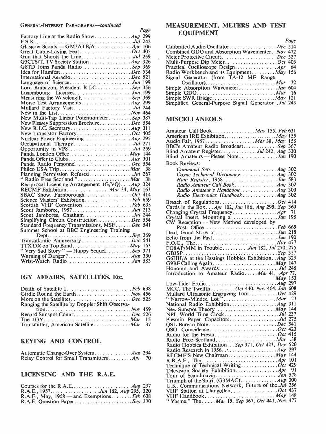#### GENERAL-INTEREST PARAGRAPHS-continued

| OENERAL-INIERESI I ARAORAFIS COMMUNICU                   | Page | IVI E.          |
|----------------------------------------------------------|------|-----------------|
|                                                          |      |                 |
|                                                          |      |                 |
|                                                          |      |                 |
| Great Cable-Laying FeatOct 405                           |      | Calit           |
| Gun that Shoots the LineJul 259                          |      | Com             |
|                                                          |      | Mete<br>Mult    |
|                                                          |      |                 |
| G8TD Joins Panda RadioSep 369<br>Idea for HamfestDec 534 |      | Pract           |
|                                                          |      | Radi            |
| International AeradioDec 521                             |      | Signa           |
|                                                          |      |                 |
| Lord Brabazon, President R.I.C Sep 356                   |      | Simp            |
| Luxembourg LicencesJun 199                               |      | Simp            |
| Measuring the WavelengthSep 369                          |      | Simp            |
|                                                          |      | Simp            |
| Mullard Factory VisitJul 244                             |      |                 |
|                                                          |      |                 |
| New Multi-Tap Linear PotentiometerSep 387                |      | <b>MIS</b>      |
| New Plessey Suppression BrochureDec 554                  |      |                 |
|                                                          |      | Ama             |
|                                                          |      | Ame             |
|                                                          |      | Audi            |
| Occupational TherapyJul 271                              |      | <b>BBC</b>      |
| Opportunity in VP8Jul 259                                |      | Blino           |
| Panda London Office May 144                              |      | Blino           |
|                                                          |      |                 |
| Panda Radio PersonnelDec 554                             |      | Bool            |
|                                                          | 38   |                 |
| Planning Permission RefusedJul 267                       |      |                 |
| "Radio Free Scotland" Mar                                | 38   |                 |
| Reciprocal Licensing Arrangement (G/VQ)Aug 324           |      |                 |
| RECMF Exhibition Mar 34, May 163                         |      |                 |
| SBAC Show, FarnboroughOct 414                            |      |                 |
| Science Masters' ExhibitionFeb 659                       |      | Brea            |
| Scottish VHF ConventionFeb 635                           |      | Card            |
| Scout Jamboree, 1957Jun 213                              |      | Char            |
| Scout Jamboree, ChathamJul 244                           |      | Crys            |
| Simplifying Circuit ConstructionDec 554                  |      | CŴ.             |
| Standard Frequency Transmissions, MSFDec 541             |      |                 |
| Summer School at BBC Engineering Training                |      | Deal            |
|                                                          |      | Echo            |
| Transatlantic AnniversaryDec 541                         |      | F.O.            |
|                                                          |      | FO <sub>8</sub> |
| "Very Sad Story" - Happy SequelSep 371                   |      | GB <sub>3</sub> |
|                                                          |      | G6H             |
| Wrist-Watch RadioJan 583                                 |      | GOR             |

### IGY AFFAIRS, SATELLITES, Etc.

| Death of Satellite IFeb 638                     | <b>MC</b> |
|-------------------------------------------------|-----------|
|                                                 | Mul       |
|                                                 | $``$ Na   |
| Ranging the Satellite by Doppler Shift Observa- | Nati      |
|                                                 | New       |
| Record Sunspot CountDec 526                     | NPL       |
|                                                 | Plesi     |
| Transmitter, American Satellite Mar 37          | OSL       |
|                                                 |           |

# KEYING AND CONTROL

|                                             | rau<br><b>RE</b> |
|---------------------------------------------|------------------|
| Relay Control for Small Transmitters Apr 70 | <b>D D</b>       |

# LICENSING AND THE R.A.E.

|                                            | U.K        |
|--------------------------------------------|------------|
| R.A.E., 1957Jun 182, Aug 295, 320          | VHF        |
| R.A.E., May, 1958 – and Exemptions Feb 638 | <b>VHF</b> |
| R.A.E. Question Paper <i>Sep</i> 370       | '' Ya      |

## MEASUREMENT, METERS AND TEST EQUIPMENT

| Page                                                 |
|------------------------------------------------------|
| Calibrated Audio OscillatorDec 514                   |
| Combined GDO and Absorption Wavementer Nov 472       |
| Meter Protective CircuitDec 527                      |
| Multi-Purpose Dip MeterOct 403                       |
|                                                      |
| Radio Workbench and its Equipment $May 156$          |
|                                                      |
|                                                      |
| Simple Absorption WavemeterJan 604                   |
| - 16                                                 |
|                                                      |
| Simplified General-Purpose Signal Generator. Jul 243 |
|                                                      |

## MISCELLANEOUS

| Amateur Call Book May 155, Feb 631<br>BBC's Amateur Radio BroadcastSep 367<br>Blind Amateur RegisterJul 242, Aug 330<br>Blind Amateurs - Please NoteJun 190                |
|----------------------------------------------------------------------------------------------------------------------------------------------------------------------------|
| <b>Book Reviews:</b>                                                                                                                                                       |
| Coyne Technical DictionaryAug 302<br>Ham Register, 1958Jan 583<br>Radio Amateur Call Book  Aug 302<br>Radio Amateur's HandbookAug 303<br>Radio Electronics HandbookAug 302 |
| Breach of RegulationsOct 414<br>Cards in the Box Apr 102, Jun 186, Aug 295, Sep 369<br>71                                                                                  |
|                                                                                                                                                                            |
|                                                                                                                                                                            |
|                                                                                                                                                                            |
| Echo from the PastJun 190                                                                                                                                                  |
| FO8AP/MM in TroubleJun 182, Jul 270, 275                                                                                                                                   |
|                                                                                                                                                                            |
|                                                                                                                                                                            |
| G6HH/A at the Hastings Hobbies Exhibition. Aug 329                                                                                                                         |
|                                                                                                                                                                            |
| Honours and AwardsJul 248                                                                                                                                                  |
| Introduction to Amateur RadioMar 41, Apr 77,                                                                                                                               |
| May 153                                                                                                                                                                    |
|                                                                                                                                                                            |
| MCC, The Twelfth Oct 440, Nov 464, Jan 608                                                                                                                                 |
| Mullard Ultrasonic Engraving Tool Oct 429                                                                                                                                  |
|                                                                                                                                                                            |
|                                                                                                                                                                            |
| New Sunspot Theory May 144                                                                                                                                                 |
|                                                                                                                                                                            |
| Plesmin Paper CapacitorsJul 275                                                                                                                                            |
| QSL Bureau NoteDec 541                                                                                                                                                     |
| QSO CoincidenceOct 423                                                                                                                                                     |
|                                                                                                                                                                            |
|                                                                                                                                                                            |
|                                                                                                                                                                            |
| Radio Hobbies Exhibition. Sep 371, Oct 423, Dec 520                                                                                                                        |
| Radio Research in 1956. $\ldots$ Aug 293                                                                                                                                   |
| RECMF'S New Chairman May 144                                                                                                                                               |
|                                                                                                                                                                            |
| Technique of Technical WritingOct 429                                                                                                                                      |
| -91                                                                                                                                                                        |
| Tour of ScandinaviaJan 578                                                                                                                                                 |
|                                                                                                                                                                            |
|                                                                                                                                                                            |
|                                                                                                                                                                            |
|                                                                                                                                                                            |
| "Yasme," The  Mar 15, Sep 367, Oct 441, Nov 477                                                                                                                            |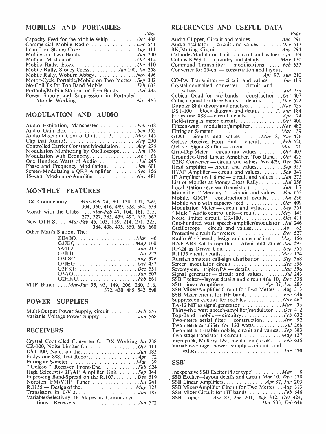| Capacity Feed for the Mobile WhipOct 408          | Audi             |
|---------------------------------------------------|------------------|
| Commercial Mobile RadioDec 541                    | Audi             |
|                                                   | BK/1             |
|                                                   | Cath             |
|                                                   | Colli            |
| Mobile Rally, EssexOct 410                        | Com              |
| Mobile Rally, Stoney CrossJun 190, Jul 258        | Con <sub>1</sub> |
|                                                   |                  |
| Motor-Cycle Portable/Mobile on Two Metres Sep 382 | $CO-I$           |
| No-Coil Tx for Top Band MobileFeb 632             | Crys             |
| Portable/Mobile Station for Five BandsJul 232     |                  |
| Power Supply and Suppression in Portable          | Cubi             |
|                                                   | Cubi             |

#### MODULATION AND AUDIO

| Audio Exhibition, ManchesterFeb 638            | Fifte |
|------------------------------------------------|-------|
| Audio Gain Box <i>Sep</i> 352                  | Fitti |
| Audio Mixer and Control Unit May 145           | GD(   |
|                                                | Gelo  |
| Controlled Carrier Constant Modulation Aug 298 | Gelo  |
| Modulation Monitoring by OscilloscopeJun 178   | Grip  |
|                                                | Gro   |
| One Hundred Watts of AudioJul 245              | G2I   |
|                                                | Hea   |
| Screen-Modulating a QRP AmplifierSep 356       | IF/A  |
|                                                | IF A  |

#### MONTHLY FEATURES

| DX Commentary <i>Mar-Feb</i> 24, 80, 138, 191, 249,    | Mobile whip with capacity feedOct 409                  |
|--------------------------------------------------------|--------------------------------------------------------|
| 304, 360, 416, 489, 528, 584, 639                      | Modulation Meter — circuit and values $Sep 351$        |
| Month with the Clubs <i>Mar-Feb</i> 47, 104, 161, 215, | " Mule " Audio control unit—circuit $\cdot$ May 145    |
| 273, 327, 385, 439, 497, 552, 662                      | Noise limiter circuit, CR-100Oct 411                   |
| New QTH'S <i>Mar-Feb</i> 45, 103, 159, 214, 271, 325,  | One-hundred watt speech-amplifier/modulator. Jul 246   |
| 384, 438, 495, 550, 606, 660                           | Oscilloscope — circuit and values Apr 65               |
| Other Man's Station, The:                              | Protective circuit for metersDec 527                   |
|                                                        | Radio Workbench, design and construction $May 156$     |
|                                                        | RAF-ARS Kit transmitter — circuit and values Jan 593   |
|                                                        | RF-24 as Driver UnitSep 355                            |
| G3JHIJul 272                                           | R.1155 circuit details May 124                         |
|                                                        | Russian amateur call-sign distribution Sep 368         |
| G3JEGOct 437                                           | Screen modulator circuitSep 356                        |
|                                                        |                                                        |
|                                                        | Signal generator — circuit and values Jul 243          |
|                                                        | SSB Exciter—layout details and circuit Mar 10, Dec 538 |
| VHF BandsMar-Jan 35, 93, 149, 206, 260, 316,           |                                                        |
| 372, 430, 485, 542, 598                                | SSB Mixer/Amplifier Circuit for Two Metres Aug 313     |

Variable Voltage Power Supply Jan 568 Top -Band mobile - circuitry Feb 632

#### RECEIVERS

| Crystal Controlled Converter for DX Working Jul 238           | Vibra      |
|---------------------------------------------------------------|------------|
|                                                               | Varia      |
| DST-100, Notes on the $\ldots$ $\ldots$ $\ldots$ $\ldots$ 183 |            |
| Eddystone 888, Test Report Apr 72                             |            |
|                                                               | <b>SSB</b> |
| "Geloso" Receiver Front-EndFeb 624                            |            |
| High Selectivity IF/AF Amplifier UnitSep 344                  | Inext      |
| Improving Band-Spread on the R.107 Dec 519                    | SSB        |
| Noroton FM/VHF TunerJul 241                                   | <b>SSB</b> |
| $R.1155$ — Design of the  May 123                             | <b>SSB</b> |
|                                                               | <b>SSB</b> |
| Variable/Selectivity IF Stages in Communica-                  | SSB.       |
| tions ReceiversJan 572                                        |            |
|                                                               |            |

#### MOBILES AND PORTABLES REFERENCES AND USEFUL DATA

Page<br>
1988 Audio Clipper, Circuit and Values............ Aug 291 Page Audio oscillator - circuit and values ........ Dec 517 BK/Muting Circuit  $\ldots$  Aug 294<br>Cathode -Modulator Unit - circuit and values Apr 69 Collins KWS-1 -- circuitry and details  $\ldots \ldots$   $\ldots$   $\ldots$   $\ldots$  130 Command Transmitter -- modifications  $\ldots \ldots$  Feb 637 Converter for 23-cm -- construction and layout. CO-PA Transmitter - circuit and values  $\therefore$  Jun 210 CO-PA Transmitter - circuit and values  $\therefore$  Jun 189 Crystal-controlled converter - circuit and values Jul 239 Cubical Quad for two bands — construction... Oct 407<br>Cubical Quad for three bands — details........ Dec 522 Doppler-Shift theory and practice ............ Nov 459  $DST-100$  - block diagram and details  $\ldots$ ,  $\ldots$ , Jun 184 Eddystone 888 - circuit details Apr 74 Field -strength meter circuit Oct 400 Fifteen-watt modulator/amplifier.............. Nov 482 Fitting an S -meter Mar 39  $GDO$  - circuits and values  $\ldots \ldots \ldots$  Mar 18, Nov 476 Geloso Receiver Front End — circuit *Mar* 20<br>Geloso Signal-Shifter — circuit Mar 20 Grip-Dip Meter - circuit and values .......... Oct 403 Grounded-Grid Linear Amplifier, Top Band... Oct 425<br>G2IQ Converter — circuit and values. Nov 479, Dec 547 Head amplifier - circuit and values  $Sep$  353 IF/AF Amplifier - circuit and values  $Sep$  347 IF Amplifier on 1.6 mc — circuit and values  $\ldots$  Jan 575 List of Mobiles at Stoney Cross Rally  $\ldots \ldots \ldots$  Jul 258 Local station receiver (transistor).............Jun 187<br>Minimitter "Mercury "— circuit and values...*Feb* 653 Mobile, G5CP — constructional details .......*Jul* 236<br>Mobile whip with capacity feed................*Oct* 409<br>Modulation Meter — circuit and values.......*Sep* 351 Mar-Feb 24, 80, 138, 191, 249, Mobile whip with capacity feed  $\ldots$   $\ldots$   $\ldots$  Oct 409<br>304, 360, 416, 489, 528, 584, 639 Modulation Meter — circuit and values  $\ldots$   $\ldots$  Sep 351 Mar-Feb 47, 104, 161, 215,<br>327, 385, 439, 497, 552, 662 Noise limiter circuit, CR-100 May 10. May 145 One-hundred watt speech-amplifier/modulator  $Jul$  246,  $Oscilloseone - circuit$  and values 384, 438, 495, 550, 606, 660 Oscilloscope - circuit and values Apr <sup>65</sup> Other Man's Station, The: Protective circuit for meters Dec 527 ZD4BQ Mar 46 Radio Workbench, design and construction . . . . May 156 G3JEQ May 160 RAF-ARS Kit transmitter - circuit and values .Jan 593 5A4TZ Jun 217 RF-24 as Driver Unit Sep 355 G3JHI Jul 272 R.1155 circuit details May 124 G3LSC Aug 326 Russian amateur call -sign distribution Sep 368 G3JEG Oct 437 Screen modulator circuit Sep 356 G3FKH Dec 551 Seventy -cm. tripler/PA - details Jan 596 Seventy-cm. tripler/PA — details  $396$ <br>Signal generator — circuit and values  $341$ SSB Exciter-layout details and circuit Mar 10, Dec 538 SSB Linear Amplifiers .............. Apr 87, Jun 203 SSB Mixer/Amplifier Circuit for Two Metres...Aug 313 SSB Mixer circuit for HF bands Feb 646 POWER SUPPLIES Suppression circuits for mobiles Nov 467 TA-12 MF as signal generator................. Mar 33 Multi-Output Power Supply, circuit  $\ldots$ , Feb 657 Thirty-five watt speech-amplifier/modulator....Oct 412<br>Variable Voltage Power Supply Two-metre aerial filter — construction........ $Apr$  92 Two-metre amplifier for 150 watts..............Jul 266 Two-metre portable/mobile, circuit and values.. Sep 383 Two-stage transistor Tx circuit.  $\ldots \ldots \ldots \ldots$  May 127 Vibrapack, Mallory 12v., regulation curves .... Feb 635 Variable-voltage power supply - circuit and

values  $\ldots$   $\ldots$   $\ldots$   $\ldots$   $\ldots$   $\ldots$   $\ldots$   $\ldots$   $\ldots$   $\ldots$   $\ldots$   $\ldots$  570

#### SSB

Inexpensive SSB Exciter (filter type)  $\dots \dots \dots \dots$  Mar SSB Exciter-layout details and circuit Mar 10, Dec 538 SSB Linear Amplifiers..................*Apr 87, Jun 203*<br>SSB Mixer/Amplifier Circuit for Two Metres...*Aug 313* SSB Mixer Circuit for HF bands ............. Feb 646 SSB Topics ... *Apr* 87, Jun 201, Aug 312, Oct 424, Dec 535, Feb 646